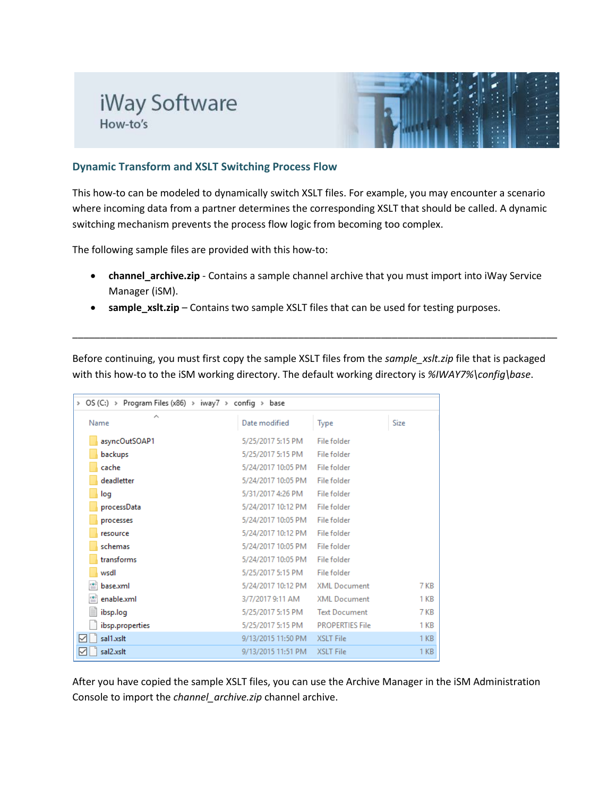## iWay Software How-to's



## **Dynamic Transform and XSLT Switching Process Flow**

This how-to can be modeled to dynamically switch XSLT files. For example, you may encounter a scenario where incoming data from a partner determines the corresponding XSLT that should be called. A dynamic switching mechanism prevents the process flow logic from becoming too complex.

The following sample files are provided with this how-to:

- **channel\_archive.zip** Contains a sample channel archive that you must import into iWay Service Manager (iSM).
- **sample\_xslt.zip** Contains two sample XSLT files that can be used for testing purposes.

Before continuing, you must first copy the sample XSLT files from the *sample\_xslt.zip* file that is packaged with this how-to to the iSM working directory. The default working directory is *%IWAY7%\config\base*.

\_\_\_\_\_\_\_\_\_\_\_\_\_\_\_\_\_\_\_\_\_\_\_\_\_\_\_\_\_\_\_\_\_\_\_\_\_\_\_\_\_\_\_\_\_\_\_\_\_\_\_\_\_\_\_\_\_\_\_\_\_\_\_\_\_\_\_\_\_\_\_\_\_\_\_\_\_\_\_\_\_\_\_\_\_\_\_\_

| > OS (C:) > Program Files (x86) > iway7 > config > base |                    |                        |                 |  |  |
|---------------------------------------------------------|--------------------|------------------------|-----------------|--|--|
| ∼<br>Name                                               | Date modified      | Type                   | Size            |  |  |
| asyncOutSOAP1                                           | 5/25/2017 5:15 PM  | File folder            |                 |  |  |
| backups                                                 | 5/25/2017 5:15 PM  | File folder            |                 |  |  |
| cache                                                   | 5/24/2017 10:05 PM | File folder            |                 |  |  |
| deadletter                                              | 5/24/2017 10:05 PM | File folder            |                 |  |  |
| log                                                     | 5/31/2017 4:26 PM  | File folder            |                 |  |  |
| processData                                             | 5/24/2017 10:12 PM | File folder            |                 |  |  |
| processes                                               | 5/24/2017 10:05 PM | File folder            |                 |  |  |
| resource                                                | 5/24/2017 10:12 PM | File folder            |                 |  |  |
| schemas                                                 | 5/24/2017 10:05 PM | File folder            |                 |  |  |
| transforms                                              | 5/24/2017 10:05 PM | File folder            |                 |  |  |
| wsdl                                                    | 5/25/2017 5:15 PM  | File folder            |                 |  |  |
| ≝<br>base.xml                                           | 5/24/2017 10:12 PM | <b>XML Document</b>    | 7 KB            |  |  |
| enable.xml                                              | 3/7/2017 9:11 AM   | <b>XML Document</b>    | 1 <sub>KB</sub> |  |  |
| ibsp.log                                                | 5/25/2017 5:15 PM  | <b>Text Document</b>   | 7 KB            |  |  |
| ibsp.properties                                         | 5/25/2017 5:15 PM  | <b>PROPERTIES File</b> | 1 KB            |  |  |
| 罓<br>sal1.xslt                                          | 9/13/2015 11:50 PM | XSLT File              | 1 <sub>KB</sub> |  |  |
| sal2.xslt<br>☑                                          | 9/13/2015 11:51 PM | <b>XSLT File</b>       | 1 <sub>KB</sub> |  |  |

After you have copied the sample XSLT files, you can use the Archive Manager in the iSM Administration Console to import the *channel\_archive.zip* channel archive.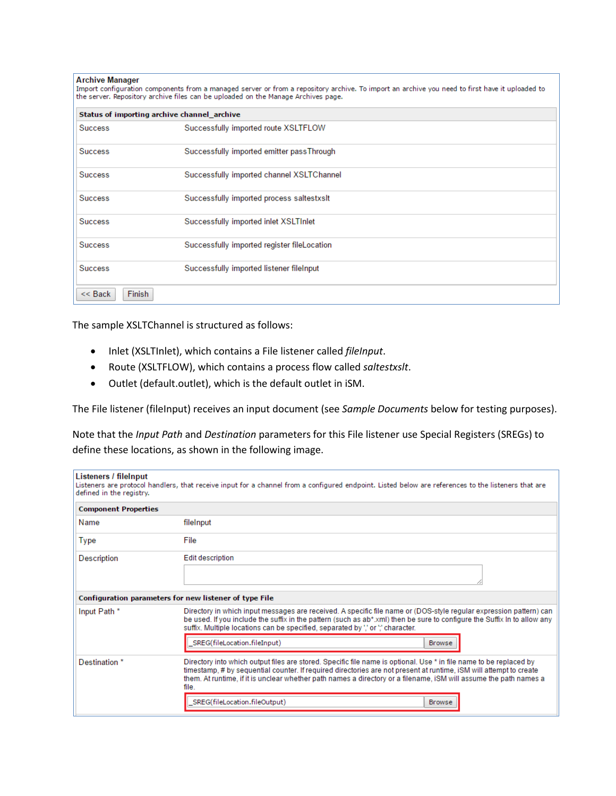| Archive Manager |  |  |  |
|-----------------|--|--|--|

| Import configuration components from a managed server or from a repository archive. To import an archive you need to first have it uploaded to<br>the server. Repository archive files can be uploaded on the Manage Archives page. |                                             |  |  |
|-------------------------------------------------------------------------------------------------------------------------------------------------------------------------------------------------------------------------------------|---------------------------------------------|--|--|
|                                                                                                                                                                                                                                     | Status of importing archive channel archive |  |  |
| <b>Success</b>                                                                                                                                                                                                                      | Successfully imported route XSLTFLOW        |  |  |
| <b>Success</b>                                                                                                                                                                                                                      | Successfully imported emitter passThrough   |  |  |
| <b>Success</b>                                                                                                                                                                                                                      | Successfully imported channel XSLTChannel   |  |  |
| <b>Success</b>                                                                                                                                                                                                                      | Successfully imported process saltestxslt   |  |  |
| <b>Success</b>                                                                                                                                                                                                                      | Successfully imported inlet XSLTInlet       |  |  |
| <b>Success</b>                                                                                                                                                                                                                      | Successfully imported register fileLocation |  |  |
| <b>Success</b>                                                                                                                                                                                                                      | Successfully imported listener fileInput    |  |  |
| <b>Finish</b><br>$<<$ Back                                                                                                                                                                                                          |                                             |  |  |

The sample XSLTChannel is structured as follows:

- Inlet (XSLTInlet), which contains a File listener called *fileInput*.
- Route (XSLTFLOW), which contains a process flow called *saltestxslt*.
- Outlet (default.outlet), which is the default outlet in iSM.

The File listener (fileInput) receives an input document (see *Sample Documents* below for testing purposes).

Note that the *Input Path* and *Destination* parameters for this File listener use Special Registers (SREGs) to define these locations, as shown in the following image.

| Listeners / fileInput<br>Listeners are protocol handlers, that receive input for a channel from a configured endpoint. Listed below are references to the listeners that are<br>defined in the registry. |                                                                                                                                                                                                                                                                                                                                                                        |  |  |
|----------------------------------------------------------------------------------------------------------------------------------------------------------------------------------------------------------|------------------------------------------------------------------------------------------------------------------------------------------------------------------------------------------------------------------------------------------------------------------------------------------------------------------------------------------------------------------------|--|--|
| <b>Component Properties</b>                                                                                                                                                                              |                                                                                                                                                                                                                                                                                                                                                                        |  |  |
| Name                                                                                                                                                                                                     | fileInput                                                                                                                                                                                                                                                                                                                                                              |  |  |
| Type                                                                                                                                                                                                     | File                                                                                                                                                                                                                                                                                                                                                                   |  |  |
| <b>Edit description</b><br>Description                                                                                                                                                                   |                                                                                                                                                                                                                                                                                                                                                                        |  |  |
|                                                                                                                                                                                                          |                                                                                                                                                                                                                                                                                                                                                                        |  |  |
| Configuration parameters for new listener of type File                                                                                                                                                   |                                                                                                                                                                                                                                                                                                                                                                        |  |  |
| Input Path *                                                                                                                                                                                             | Directory in which input messages are received. A specific file name or (DOS-style regular expression pattern) can<br>be used. If you include the suffix in the pattern (such as ab*.xml) then be sure to configure the Suffix In to allow any<br>suffix. Multiple locations can be specified, separated by "," or "," character.                                      |  |  |
|                                                                                                                                                                                                          | SREG(fileLocation.fileInput)<br><b>Browse</b>                                                                                                                                                                                                                                                                                                                          |  |  |
| Destination *                                                                                                                                                                                            | Directory into which output files are stored. Specific file name is optional. Use * in file name to be replaced by<br>timestamp, # by sequential counter. If required directories are not present at runtime, iSM will attempt to create<br>them. At runtime, if it is unclear whether path names a directory or a filename, iSM will assume the path names a<br>file. |  |  |
|                                                                                                                                                                                                          | SREG(fileLocation.fileOutput)<br><b>Browse</b>                                                                                                                                                                                                                                                                                                                         |  |  |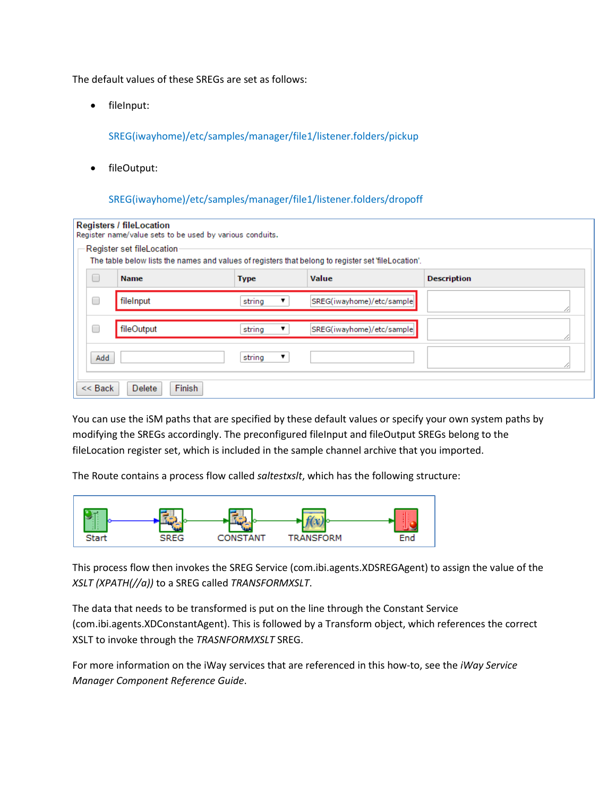The default values of these SREGs are set as follows:

• fileInput:

SREG(iwayhome)/etc/samples/manager/file1/listener.folders/pickup

• fileOutput:

SREG(iwayhome)/etc/samples/manager/file1/listener.folders/dropoff

| <b>Registers / fileLocation</b><br>Register name/value sets to be used by various conduits.<br>Register set fileLocation-<br>The table below lists the names and values of registers that belong to register set 'fileLocation'. |             |             |   |                           |                    |  |
|----------------------------------------------------------------------------------------------------------------------------------------------------------------------------------------------------------------------------------|-------------|-------------|---|---------------------------|--------------------|--|
| $\Box$                                                                                                                                                                                                                           | <b>Name</b> | <b>Type</b> |   | <b>Value</b>              | <b>Description</b> |  |
| □                                                                                                                                                                                                                                | fileInput   | string      | ▼ | SREG(iwayhome)/etc/sample |                    |  |
| O                                                                                                                                                                                                                                | fileOutput  | string      | ▼ | SREG(iwayhome)/etc/sample |                    |  |
| Add                                                                                                                                                                                                                              |             | string      | ▼ |                           |                    |  |
| Finish<br>$<<$ Back<br><b>Delete</b>                                                                                                                                                                                             |             |             |   |                           |                    |  |

You can use the iSM paths that are specified by these default values or specify your own system paths by modifying the SREGs accordingly. The preconfigured fileInput and fileOutput SREGs belong to the fileLocation register set, which is included in the sample channel archive that you imported.

The Route contains a process flow called *saltestxslt*, which has the following structure:



This process flow then invokes the SREG Service (com.ibi.agents.XDSREGAgent) to assign the value of the *XSLT (XPATH(//a))* to a SREG called *TRANSFORMXSLT*.

The data that needs to be transformed is put on the line through the Constant Service (com.ibi.agents.XDConstantAgent). This is followed by a Transform object, which references the correct XSLT to invoke through the *TRASNFORMXSLT* SREG.

For more information on the iWay services that are referenced in this how-to, see the *iWay Service Manager Component Reference Guide*.